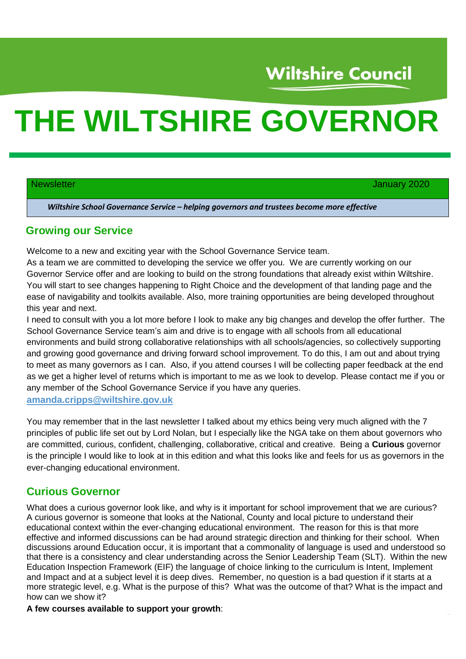# **Wiltshire Council**

# **THE WILTSHIRE GOVERNOR**

Newsletter **Newsletter** January 2020

*Wiltshire School Governance Service – helping governors and trustees become more effective*

#### **Growing our Service**

Welcome to a new and exciting year with the School Governance Service team.

As a team we are committed to developing the service we offer you. We are currently working on our Governor Service offer and are looking to build on the strong foundations that already exist within Wiltshire. You will start to see changes happening to Right Choice and the development of that landing page and the ease of navigability and toolkits available. Also, more training opportunities are being developed throughout this year and next.

I need to consult with you a lot more before I look to make any big changes and develop the offer further. The School Governance Service team's aim and drive is to engage with all schools from all educational environments and build strong collaborative relationships with all schools/agencies, so collectively supporting and growing good governance and driving forward school improvement. To do this, I am out and about trying to meet as many governors as I can. Also, if you attend courses I will be collecting paper feedback at the end as we get a higher level of returns which is important to me as we look to develop. Please contact me if you or any member of the School Governance Service if you have any queries.

### **[amanda.cripps@wiltshire.gov.uk](mailto:amanda.cripps@wiltshire.gov.uk)**

You may remember that in the last newsletter I talked about my ethics being very much aligned with the 7 principles of public life set out by Lord Nolan, but I especially like the NGA take on them about governors who are committed, curious, confident, challenging, collaborative, critical and creative. Being a **Curious** governor is the principle I would like to look at in this edition and what this looks like and feels for us as governors in the ever-changing educational environment.

### **Curious Governor**

What does a curious governor look like, and why is it important for school improvement that we are curious? A curious governor is someone that looks at the National, County and local picture to understand their educational context within the ever-changing educational environment. The reason for this is that more effective and informed discussions can be had around strategic direction and thinking for their school. When discussions around Education occur, it is important that a commonality of language is used and understood so that there is a consistency and clear understanding across the Senior Leadership Team (SLT). Within the new Education Inspection Framework (EIF) the language of choice linking to the curriculum is Intent, Implement and Impact and at a subject level it is deep dives. Remember, no question is a bad question if it starts at a more strategic level, e.g. What is the purpose of this? What was the outcome of that? What is the impact and how can we show it?

#### **A few courses available to support your growth**: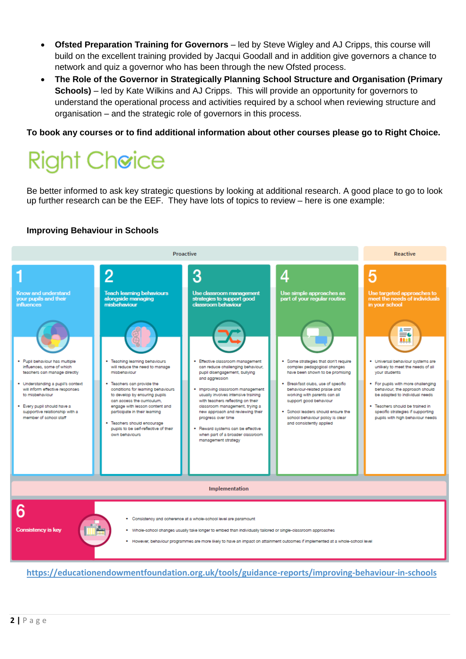- **Ofsted Preparation Training for Governors** led by Steve Wigley and AJ Cripps, this course will build on the excellent training provided by Jacqui Goodall and in addition give governors a chance to network and quiz a governor who has been through the new Ofsted process.
- **The Role of the Governor in Strategically Planning School Structure and Organisation (Primary Schools)** – led by Kate Wilkins and AJ Cripps. This will provide an opportunity for governors to understand the operational process and activities required by a school when reviewing structure and organisation – and the strategic role of governors in this process.

**To book any courses or to find additional information about other courses please go to Right Choice.**

# **Right Cheice**

Be better informed to ask key strategic questions by looking at additional research. A good place to go to look up further research can be the EEF. They have lots of topics to review – here is one example:

#### **Improving Behaviour in Schools**



**<https://educationendowmentfoundation.org.uk/tools/guidance-reports/improving-behaviour-in-schools>**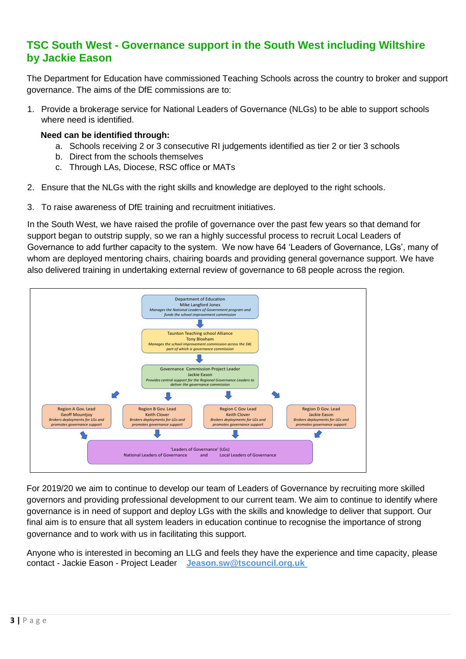# **TSC South West - Governance support in the South West including Wiltshire by Jackie Eason**

The Department for Education have commissioned Teaching Schools across the country to broker and support governance. The aims of the DfE commissions are to:

1. Provide a brokerage service for National Leaders of Governance (NLGs) to be able to support schools where need is identified.

#### **Need can be identified through:**

- a. Schools receiving 2 or 3 consecutive RI judgements identified as tier 2 or tier 3 schools
- b. Direct from the schools themselves
- c. Through LAs, Diocese, RSC office or MATs
- 2. Ensure that the NLGs with the right skills and knowledge are deployed to the right schools.
- 3. To raise awareness of DfE training and recruitment initiatives.

In the South West, we have raised the profile of governance over the past few years so that demand for support began to outstrip supply, so we ran a highly successful process to recruit Local Leaders of Governance to add further capacity to the system. We now have 64 'Leaders of Governance, LGs', many of whom are deployed mentoring chairs, chairing boards and providing general governance support. We have also delivered training in undertaking external review of governance to 68 people across the region.



For 2019/20 we aim to continue to develop our team of Leaders of Governance by recruiting more skilled governors and providing professional development to our current team. We aim to continue to identify where governance is in need of support and deploy LGs with the skills and knowledge to deliver that support. Our final aim is to ensure that all system leaders in education continue to recognise the importance of strong governance and to work with us in facilitating this support.

Anyone who is interested in becoming an LLG and feels they have the experience and time capacity, please contact - Jackie Eason - Project Leader **[Jeason.sw@tscouncil.org.uk](mailto:Jeason.sw@tscouncil.org.uk)**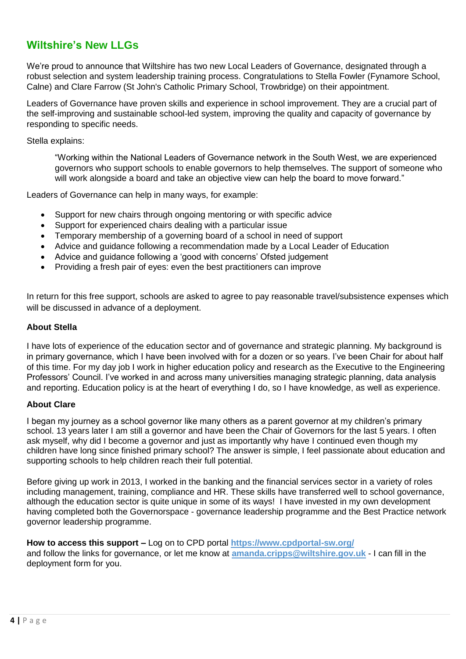# **Wiltshire's New LLGs**

We're proud to announce that Wiltshire has two new Local Leaders of Governance, designated through a robust selection and system leadership training process. Congratulations to Stella Fowler (Fynamore School, Calne) and Clare Farrow (St John's Catholic Primary School, Trowbridge) on their appointment.

Leaders of Governance have proven skills and experience in school improvement. They are a crucial part of the self-improving and sustainable school-led system, improving the quality and capacity of governance by responding to specific needs.

Stella explains:

"Working within the National Leaders of Governance network in the South West, we are experienced governors who support schools to enable governors to help themselves. The support of someone who will work alongside a board and take an objective view can help the board to move forward."

Leaders of Governance can help in many ways, for example:

- Support for new chairs through ongoing mentoring or with specific advice
- Support for experienced chairs dealing with a particular issue
- Temporary membership of a governing board of a school in need of support
- Advice and guidance following a recommendation made by a Local Leader of Education
- Advice and guidance following a 'good with concerns' Ofsted judgement
- Providing a fresh pair of eyes: even the best practitioners can improve

In return for this free support, schools are asked to agree to pay reasonable travel/subsistence expenses which will be discussed in advance of a deployment.

#### **About Stella**

I have lots of experience of the education sector and of governance and strategic planning. My background is in primary governance, which I have been involved with for a dozen or so years. I've been Chair for about half of this time. For my day job I work in higher education policy and research as the Executive to the Engineering Professors' Council. I've worked in and across many universities managing strategic planning, data analysis and reporting. Education policy is at the heart of everything I do, so I have knowledge, as well as experience.

#### **About Clare**

I began my journey as a school governor like many others as a parent governor at my children's primary school. 13 years later I am still a governor and have been the Chair of Governors for the last 5 years. I often ask myself, why did I become a governor and just as importantly why have I continued even though my children have long since finished primary school? The answer is simple, I feel passionate about education and supporting schools to help children reach their full potential.

Before giving up work in 2013, I worked in the banking and the financial services sector in a variety of roles including management, training, compliance and HR. These skills have transferred well to school governance, although the education sector is quite unique in some of its ways! I have invested in my own development having completed both the Governorspace - governance leadership programme and the Best Practice network governor leadership programme.

#### **How to access this support –** Log on to CPD portal **<https://www.cpdportal-sw.org/>**

and follow the links for governance, or let me know at **[amanda.cripps@wiltshire.gov.uk](mailto:amanda.cripps@wiltshire.gov.uk)** - I can fill in the deployment form for you.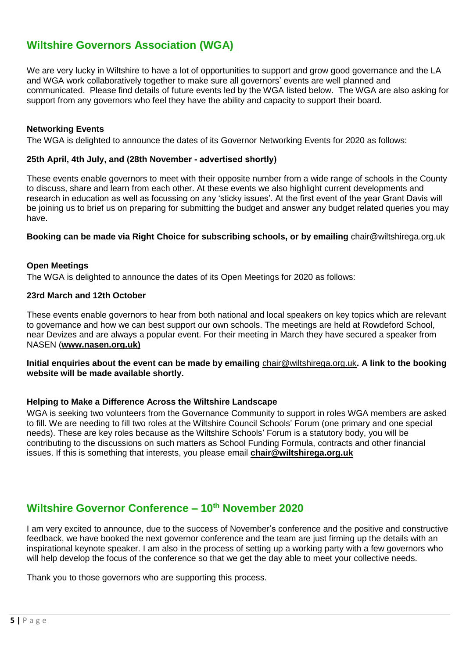# **Wiltshire Governors Association (WGA)**

We are very lucky in Wiltshire to have a lot of opportunities to support and grow good governance and the LA and WGA work collaboratively together to make sure all governors' events are well planned and communicated. Please find details of future events led by the WGA listed below. The WGA are also asking for support from any governors who feel they have the ability and capacity to support their board.

#### **Networking Events**

The WGA is delighted to announce the dates of its Governor Networking Events for 2020 as follows:

#### **25th April, 4th July, and (28th November - advertised shortly)**

These events enable governors to meet with their opposite number from a wide range of schools in the County to discuss, share and learn from each other. At these events we also highlight current developments and research in education as well as focussing on any 'sticky issues'. At the first event of the year Grant Davis will be joining us to brief us on preparing for submitting the budget and answer any budget related queries you may have.

#### **Booking can be made via Right Choice for subscribing schools, or by emailing** [chair@wiltshirega.org.uk](mailto:chair@wiltshirega.org.uk)

#### **Open Meetings**

The WGA is delighted to announce the dates of its Open Meetings for 2020 as follows:

#### **23rd March and 12th October**

These events enable governors to hear from both national and local speakers on key topics which are relevant to governance and how we can best support our own schools. The meetings are held at Rowdeford School, near Devizes and are always a popular event. For their meeting in March they have secured a speaker from NASEN (**[www.nasen.org.uk\)](http://www.nasen.org.uk)/)**

**Initial enquiries about the event can be made by emailing** [chair@wiltshirega.org.uk](mailto:chair@wiltshirega.org.uk)**. A link to the booking website will be made available shortly.**

#### **Helping to Make a Difference Across the Wiltshire Landscape**

WGA is seeking two volunteers from the Governance Community to support in roles WGA members are asked to fill. We are needing to fill two roles at the Wiltshire Council Schools' Forum (one primary and one special needs). These are key roles because as the Wiltshire Schools' Forum is a statutory body, you will be contributing to the discussions on such matters as School Funding Formula, contracts and other financial issues. If this is something that interests, you please email **[chair@wiltshirega.org.uk](mailto:chair@wiltshirega.org.uk)**

### **[Wiltshire Governor Conference](http://rightchoice.wiltshire.gov.uk/Article/67420?source=Newsletter&guid=82EAAFCD-1D8C-4D70-982A-2DA7CC50727C) – 10th November 2020**

I am very excited to announce, due to the success of November's conference and the positive and constructive feedback, we have booked the next governor conference and the team are just firming up the details with an inspirational keynote speaker. I am also in the process of setting up a working party with a few governors who will help develop the focus of the conference so that we get the day able to meet your collective needs.

Thank you to those governors who are supporting this process.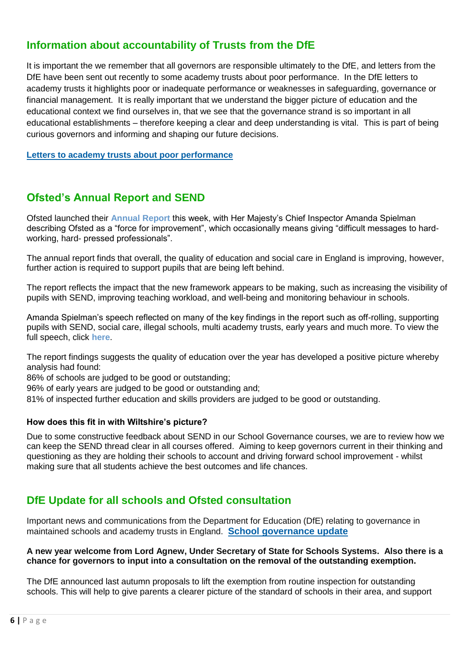# **Information about accountability of Trusts from the DfE**

It is important the we remember that all governors are responsible ultimately to the DfE, and letters from the DfE have been sent out recently to some academy trusts about poor performance. In the DfE letters to academy trusts it highlights poor or inadequate performance or weaknesses in safeguarding, governance or financial management. It is really important that we understand the bigger picture of education and the educational context we find ourselves in, that we see that the governance strand is so important in all educational establishments – therefore keeping a clear and deep understanding is vital. This is part of being curious governors and informing and shaping our future decisions.

**[Letters to academy trusts about poor performance](https://www.gov.uk/government/collections/letters-to-academies-about-poor-performance?utm_source=c750a606-da84-4129-98f1-621f1a0fad64&utm_medium=email&utm_campaign=govuk-notifications&utm_content=daily)**

# **Ofsted's Annual Report and SEND**

Ofsted launched their **[Annual Report](https://nga.us4.list-manage.com/track/click?u=61b50c958d6d8bdc66ca58bbd&id=a1c815ca8c&e=10481d57d9)** this week, with Her Majesty's Chief Inspector Amanda Spielman describing Ofsted as a "force for improvement", which occasionally means giving "difficult messages to hardworking, hard- pressed professionals".

The annual report finds that overall, the quality of education and social care in England is improving, however, further action is required to support pupils that are being left behind.

The report reflects the impact that the new framework appears to be making, such as increasing the visibility of pupils with SEND, improving teaching workload, and well-being and monitoring behaviour in schools.

Amanda Spielman's speech reflected on many of the key findings in the report such as off-rolling, supporting pupils with SEND, social care, illegal schools, multi academy trusts, early years and much more. To view the full speech, click **[here](https://nga.us4.list-manage.com/track/click?u=61b50c958d6d8bdc66ca58bbd&id=b7459048a9&e=10481d57d9)**.

The report findings suggests the quality of education over the year has developed a positive picture whereby analysis had found:

86% of schools are judged to be good or outstanding;

96% of early years are judged to be good or outstanding and;

81% of inspected further education and skills providers are judged to be good or outstanding.

#### **How does this fit in with Wiltshire's picture?**

Due to some constructive feedback about SEND in our School Governance courses, we are to review how we can keep the SEND thread clear in all courses offered. Aiming to keep governors current in their thinking and questioning as they are holding their schools to account and driving forward school improvement - whilst making sure that all students achieve the best outcomes and life chances.

# **DfE Update for all schools and Ofsted consultation**

Important news and communications from the Department for Education (DfE) relating to governance in maintained schools and academy trusts in England. **[School governance update](https://www.gov.uk/government/publications/school-governance-update?utm_source=a1a28931-40b1-4aff-a4ac-2d400a4dd3ec&utm_medium=email&utm_campaign=govuk-notifications&utm_content=daily)**

#### **A new year welcome from Lord Agnew, Under Secretary of State for Schools Systems. Also there is a chance for governors to input into a consultation on the removal of the outstanding exemption.**

The DfE announced last autumn proposals to lift the exemption from routine inspection for outstanding schools. This will help to give parents a clearer picture of the standard of schools in their area, and support